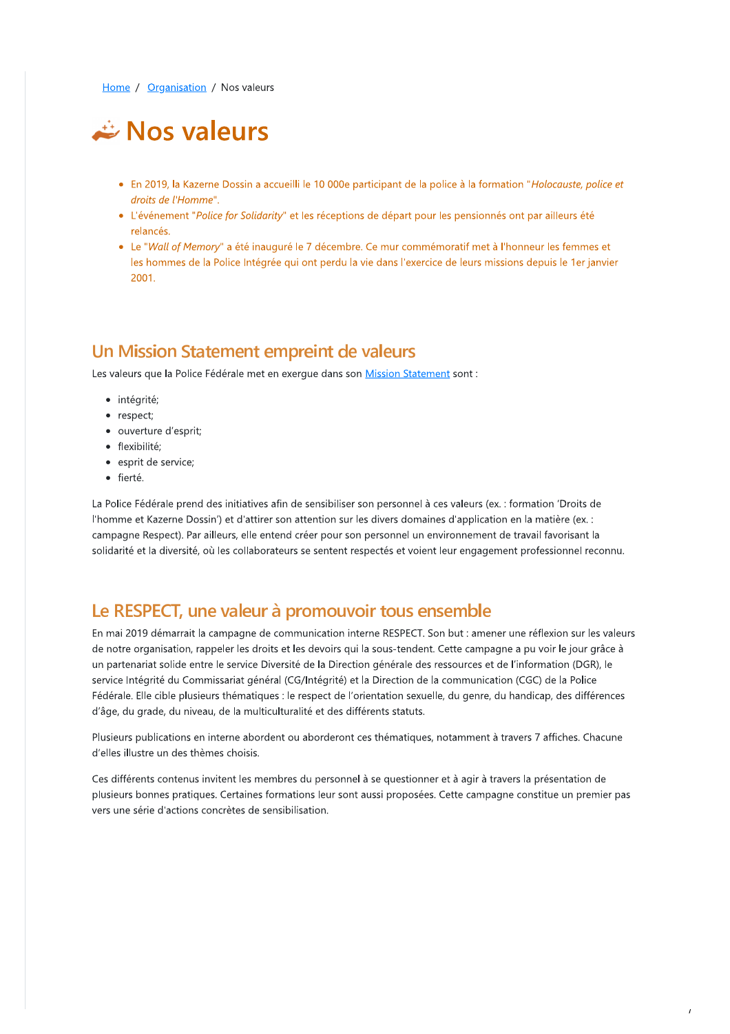Home / Organisation / Nos valeurs

# Nos valeurs

- · En 2019, la Kazerne Dossin a accueilli le 10 000e participant de la police à la formation "Holocauste, police et droits de l'Homme".
- L'événement "Police for Solidarity" et les réceptions de départ pour les pensionnés ont par ailleurs été relancés
- Le "Wall of Memory" a été inauguré le 7 décembre. Ce mur commémoratif met à l'honneur les femmes et les hommes de la Police Intégrée qui ont perdu la vie dans l'exercice de leurs missions depuis le 1er janvier 2001.

### Un Mission Statement empreint de valeurs

Les valeurs que la Police Fédérale met en exerque dans son Mission Statement sont :

- · intégrité;
- respect;
- · ouverture d'esprit;
- · flexibilité;
- · esprit de service;
- · fierté.

La Police Fédérale prend des initiatives afin de sensibiliser son personnel à ces valeurs (ex. : formation 'Droits de l'homme et Kazerne Dossin') et d'attirer son attention sur les divers domaines d'application en la matière (ex.: campagne Respect). Par ailleurs, elle entend créer pour son personnel un environnement de travail favorisant la solidarité et la diversité, où les collaborateurs se sentent respectés et voient leur engagement professionnel reconnu.

## Le RESPECT, une valeur à promouvoir tous ensemble

En mai 2019 démarrait la campagne de communication interne RESPECT. Son but : amener une réflexion sur les valeurs de notre organisation, rappeler les droits et les devoirs qui la sous-tendent. Cette campagne a pu voir le jour grâce à un partenariat solide entre le service Diversité de la Direction générale des ressources et de l'information (DGR), le service Intégrité du Commissariat général (CG/Intégrité) et la Direction de la communication (CGC) de la Police Fédérale. Elle cible plusieurs thématiques : le respect de l'orientation sexuelle, du genre, du handicap, des différences d'âge, du grade, du niveau, de la multiculturalité et des différents statuts.

Plusieurs publications en interne abordent ou aborderont ces thématiques, notamment à travers 7 affiches. Chacune d'elles illustre un des thèmes choisis.

Ces différents contenus invitent les membres du personnel à se questionner et à agir à travers la présentation de plusieurs bonnes pratiques. Certaines formations leur sont aussi proposées. Cette campagne constitue un premier pas vers une série d'actions concrètes de sensibilisation.

 $\overline{1}$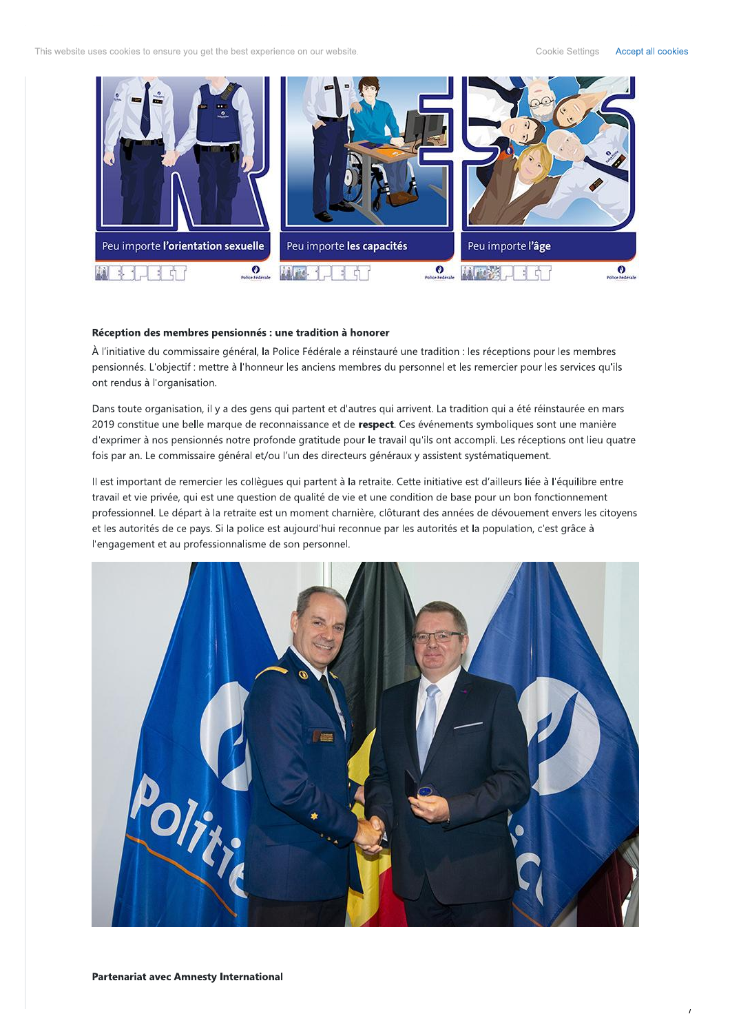This website uses cookies to ensure you get the best experience on our website.

Cookie Settings Accept all cookies



#### Réception des membres pensionnés : une tradition à honorer

À l'initiative du commissaire général, la Police Fédérale a réinstauré une tradition : les réceptions pour les membres pensionnés. L'objectif : mettre à l'honneur les anciens membres du personnel et les remercier pour les services qu'ils ont rendus à l'organisation.

Dans toute organisation, il y a des gens qui partent et d'autres qui arrivent. La tradition qui a été réinstaurée en mars 2019 constitue une belle marque de reconnaissance et de respect. Ces événements symboliques sont une manière d'exprimer à nos pensionnés notre profonde gratitude pour le travail qu'ils ont accompli. Les réceptions ont lieu quatre fois par an. Le commissaire général et/ou l'un des directeurs généraux y assistent systématiquement.

Il est important de remercier les collègues qui partent à la retraite. Cette initiative est d'ailleurs liée à l'équilibre entre travail et vie privée, qui est une question de qualité de vie et une condition de base pour un bon fonctionnement professionnel. Le départ à la retraite est un moment charnière, clôturant des années de dévouement envers les citoyens et les autorités de ce pays. Si la police est aujourd'hui reconnue par les autorités et la population, c'est grâce à l'engagement et au professionnalisme de son personnel.

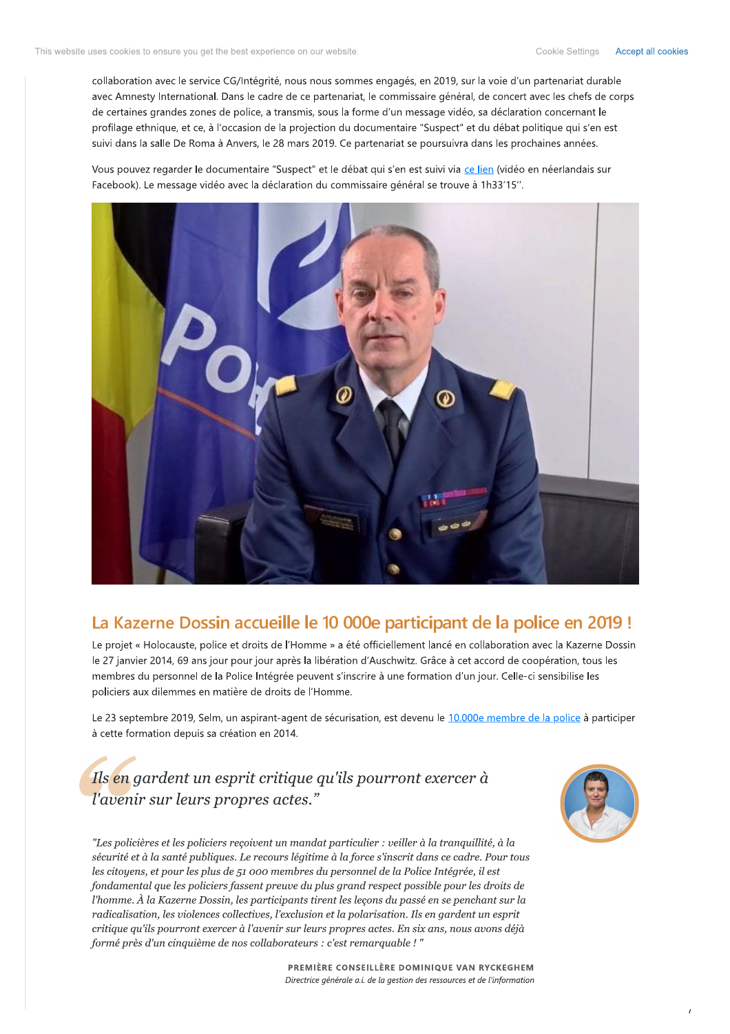collaboration avec le service CG/Intégrité, nous nous sommes engagés, en 2019, sur la voie d'un partenariat durable avec Amnesty International. Dans le cadre de ce partenariat, le commissaire général, de concert avec les chefs de corps de certaines grandes zones de police, a transmis, sous la forme d'un message vidéo, sa déclaration concernant le profilage ethnique, et ce, à l'occasion de la projection du documentaire "Suspect" et du débat politique qui s'en est suivi dans la salle De Roma à Anvers, le 28 mars 2019. Ce partenariat se poursuivra dans les prochaines années.

Vous pouvez regarder le documentaire "Suspect" et le débat qui s'en est suivi via ce lien (vidéo en néerlandais sur Facebook). Le message vidéo avec la déclaration du commissaire général se trouve à 1h33'15".



# La Kazerne Dossin accueille le 10 000e participant de la police en 2019!

Le projet « Holocauste, police et droits de l'Homme » a été officiellement lancé en collaboration avec la Kazerne Dossin le 27 janvier 2014, 69 ans jour pour jour après la libération d'Auschwitz. Grâce à cet accord de coopération, tous les membres du personnel de la Police Intégrée peuvent s'inscrire à une formation d'un jour. Celle-ci sensibilise les policiers aux dilemmes en matière de droits de l'Homme.

Le 23 septembre 2019, Selm, un aspirant-agent de sécurisation, est devenu le 10.000e membre de la police à participer à cette formation depuis sa création en 2014.

# Ils en gardent un esprit critique qu'ils pourront exercer à l'avenir sur leurs propres actes."



"Les policières et les policiers reçoivent un mandat particulier : veiller à la tranquillité, à la sécurité et à la santé publiques. Le recours légitime à la force s'inscrit dans ce cadre. Pour tous les citoyens, et pour les plus de 51 000 membres du personnel de la Police Intégrée, il est fondamental que les policiers fassent preuve du plus grand respect possible pour les droits de l'homme. À la Kazerne Dossin, les participants tirent les lecons du passé en se penchant sur la radicalisation, les violences collectives, l'exclusion et la polarisation. Ils en gardent un esprit critique qu'ils pourront exercer à l'avenir sur leurs propres actes. En six ans, nous avons déjà formé près d'un cinquième de nos collaborateurs : c'est remarquable ! "

> PREMIÈRE CONSEILLÈRE DOMINIQUE VAN RYCKEGHEM Directrice générale a.i. de la gestion des ressources et de l'information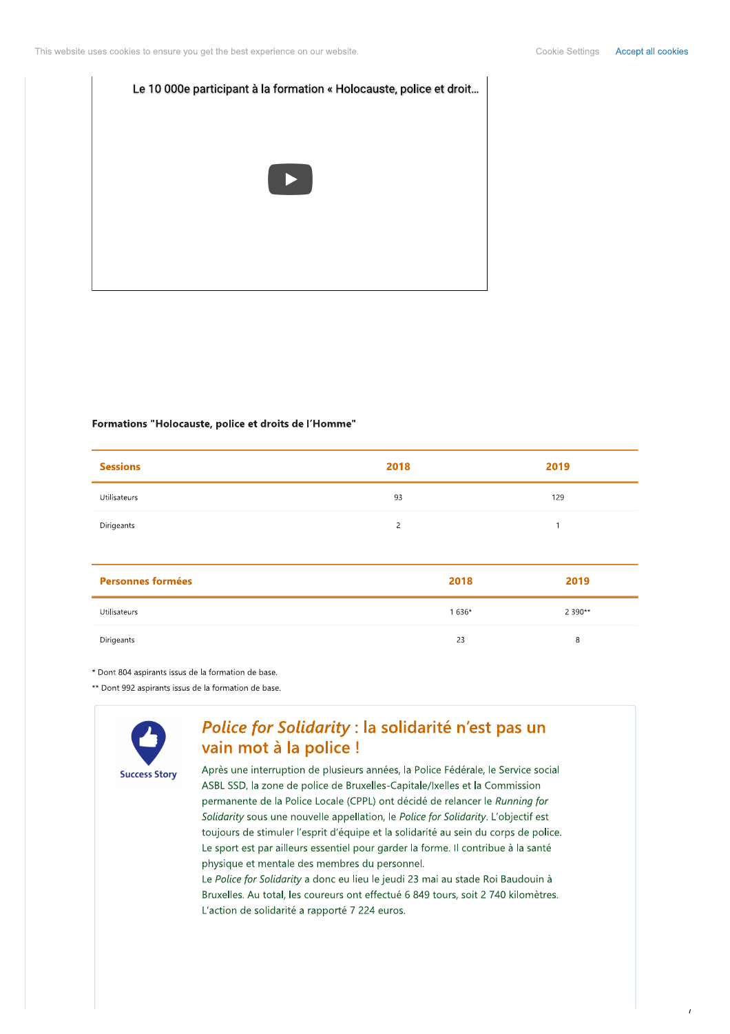

#### Formations "Holocauste, police et droits de l'Homme"

| <b>Sessions</b> | 2018 | 2019 |
|-----------------|------|------|
| Utilisateurs    | 93   | 129  |
| Dirigeants      | ∍    |      |

| <b>Personnes formées</b> | 2018   | 2019       |
|--------------------------|--------|------------|
| Utilisateurs             | 1 636* | 2 3 9 0 ** |
| Dirigeants               | 23     | 8          |

\* Dont 804 aspirants issus de la formation de base.

\*\* Dont 992 aspirants issus de la formation de base.

![](_page_3_Picture_8.jpeg)

### Police for Solidarity : la solidarité n'est pas un vain mot à la police !

Après une interruption de plusieurs années, la Police Fédérale, le Service social ASBL SSD, la zone de police de Bruxelles-Capitale/Ixelles et la Commission permanente de la Police Locale (CPPL) ont décidé de relancer le Running for Solidarity sous une nouvelle appellation, le Police for Solidarity. L'objectif est toujours de stimuler l'esprit d'équipe et la solidarité au sein du corps de police. Le sport est par ailleurs essentiel pour garder la forme. Il contribue à la santé physique et mentale des membres du personnel.

Le Police for Solidarity a donc eu lieu le jeudi 23 mai au stade Roi Baudouin à Bruxelles. Au total, les coureurs ont effectué 6 849 tours, soit 2 740 kilomètres. L'action de solidarité a rapporté 7 224 euros.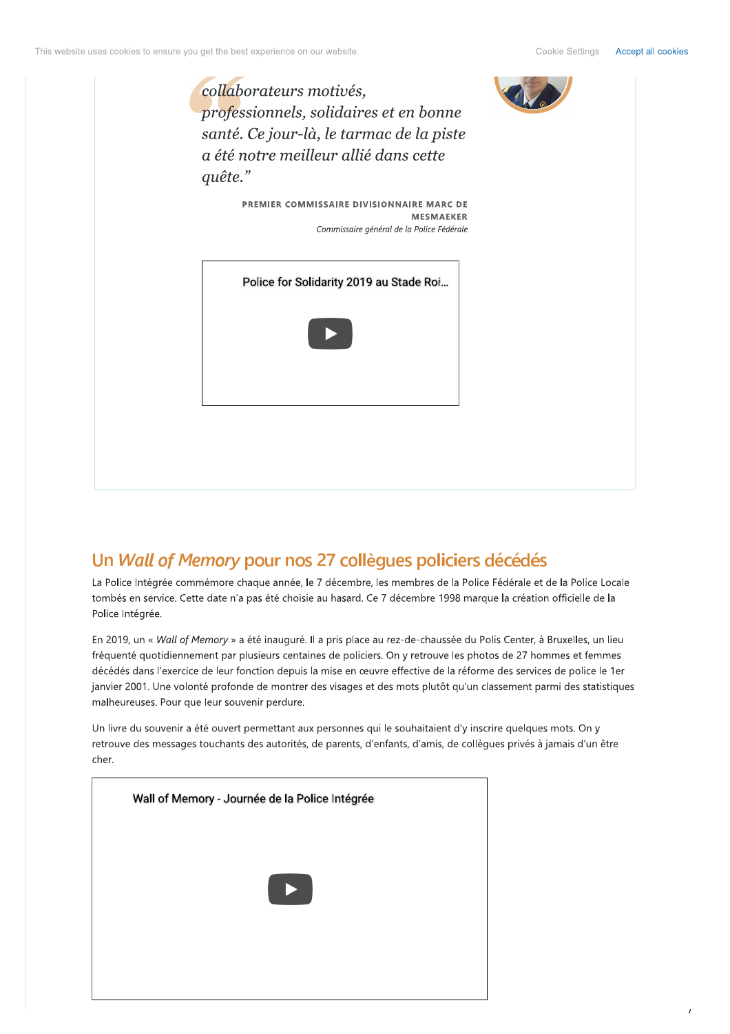![](_page_4_Picture_3.jpeg)

# Un Wall of Memory pour nos 27 collègues policiers décédés

La Police Intégrée commémore chaque année, le 7 décembre, les membres de la Police Fédérale et de la Police Locale tombés en service. Cette date n'a pas été choisie au hasard. Ce 7 décembre 1998 marque la création officielle de la Police Intégrée.

En 2019, un « Wall of Memory » a été inauguré. Il a pris place au rez-de-chaussée du Polis Center, à Bruxelles, un lieu fréquenté quotidiennement par plusieurs centaines de policiers. On y retrouve les photos de 27 hommes et femmes décédés dans l'exercice de leur fonction depuis la mise en œuvre effective de la réforme des services de police le 1er janvier 2001. Une volonté profonde de montrer des visages et des mots plutôt qu'un classement parmi des statistiques malheureuses. Pour que leur souvenir perdure.

Un livre du souvenir a été ouvert permettant aux personnes qui le souhaitaient d'y inscrire quelques mots. On y retrouve des messages touchants des autorités, de parents, d'enfants, d'amis, de collègues privés à jamais d'un être cher.

![](_page_4_Picture_8.jpeg)